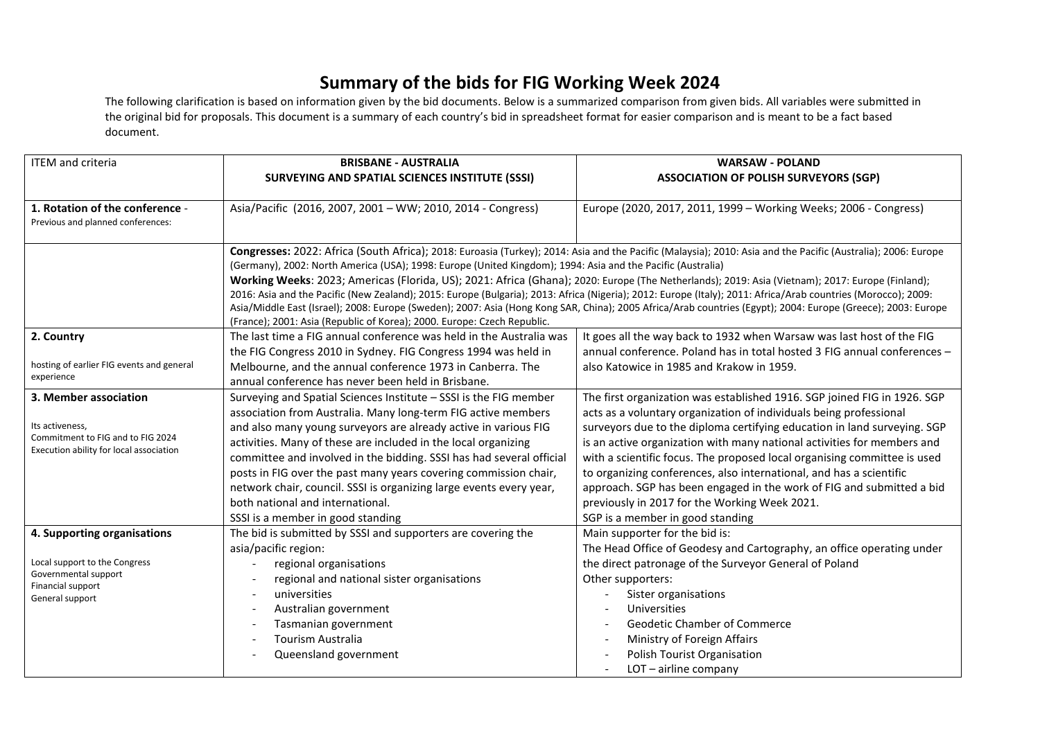## **Summary of the bids for FIG Working Week 2024**

The following clarification is based on information given by the bid documents. Below is a summarized comparison from given bids. All variables were submitted in the original bid for proposals. This document is a summary of each country's bid in spreadsheet format for easier comparison and is meant to be a fact based document.

| <b>ITEM</b> and criteria                                                     | <b>BRISBANE - AUSTRALIA</b>                                                                                                    | <b>WARSAW - POLAND</b>                                                                                                                                                                                                                                                                                            |
|------------------------------------------------------------------------------|--------------------------------------------------------------------------------------------------------------------------------|-------------------------------------------------------------------------------------------------------------------------------------------------------------------------------------------------------------------------------------------------------------------------------------------------------------------|
|                                                                              | SURVEYING AND SPATIAL SCIENCES INSTITUTE (SSSI)                                                                                | <b>ASSOCIATION OF POLISH SURVEYORS (SGP)</b>                                                                                                                                                                                                                                                                      |
|                                                                              |                                                                                                                                |                                                                                                                                                                                                                                                                                                                   |
| 1. Rotation of the conference -                                              | Asia/Pacific (2016, 2007, 2001 - WW; 2010, 2014 - Congress)                                                                    | Europe (2020, 2017, 2011, 1999 - Working Weeks; 2006 - Congress)                                                                                                                                                                                                                                                  |
| Previous and planned conferences:                                            |                                                                                                                                |                                                                                                                                                                                                                                                                                                                   |
|                                                                              |                                                                                                                                |                                                                                                                                                                                                                                                                                                                   |
|                                                                              |                                                                                                                                | Congresses: 2022: Africa (South Africa); 2018: Euroasia (Turkey); 2014: Asia and the Pacific (Malaysia); 2010: Asia and the Pacific (Australia); 2006: Europe                                                                                                                                                     |
|                                                                              | (Germany), 2002: North America (USA); 1998: Europe (United Kingdom); 1994: Asia and the Pacific (Australia)                    |                                                                                                                                                                                                                                                                                                                   |
|                                                                              |                                                                                                                                | Working Weeks: 2023; Americas (Florida, US); 2021: Africa (Ghana); 2020: Europe (The Netherlands); 2019: Asia (Vietnam); 2017: Europe (Finland);<br>2016: Asia and the Pacific (New Zealand); 2015: Europe (Bulgaria); 2013: Africa (Nigeria); 2012: Europe (Italy); 2011: Africa/Arab countries (Morocco); 2009: |
|                                                                              |                                                                                                                                | Asia/Middle East (Israel); 2008: Europe (Sweden); 2007: Asia (Hong Kong SAR, China); 2005 Africa/Arab countries (Egypt); 2004: Europe (Greece); 2003: Europe                                                                                                                                                      |
|                                                                              | (France); 2001: Asia (Republic of Korea); 2000. Europe: Czech Republic.                                                        |                                                                                                                                                                                                                                                                                                                   |
| 2. Country                                                                   | The last time a FIG annual conference was held in the Australia was                                                            | It goes all the way back to 1932 when Warsaw was last host of the FIG                                                                                                                                                                                                                                             |
|                                                                              | the FIG Congress 2010 in Sydney. FIG Congress 1994 was held in                                                                 | annual conference. Poland has in total hosted 3 FIG annual conferences -                                                                                                                                                                                                                                          |
| hosting of earlier FIG events and general                                    | Melbourne, and the annual conference 1973 in Canberra. The                                                                     | also Katowice in 1985 and Krakow in 1959.                                                                                                                                                                                                                                                                         |
| experience                                                                   | annual conference has never been held in Brisbane.                                                                             |                                                                                                                                                                                                                                                                                                                   |
| 3. Member association                                                        | Surveying and Spatial Sciences Institute - SSSI is the FIG member                                                              | The first organization was established 1916. SGP joined FIG in 1926. SGP                                                                                                                                                                                                                                          |
|                                                                              | association from Australia. Many long-term FIG active members                                                                  | acts as a voluntary organization of individuals being professional                                                                                                                                                                                                                                                |
| Its activeness,                                                              | and also many young surveyors are already active in various FIG                                                                | surveyors due to the diploma certifying education in land surveying. SGP                                                                                                                                                                                                                                          |
| Commitment to FIG and to FIG 2024<br>Execution ability for local association | activities. Many of these are included in the local organizing                                                                 | is an active organization with many national activities for members and                                                                                                                                                                                                                                           |
|                                                                              | committee and involved in the bidding. SSSI has had several official                                                           | with a scientific focus. The proposed local organising committee is used                                                                                                                                                                                                                                          |
|                                                                              | posts in FIG over the past many years covering commission chair,                                                               | to organizing conferences, also international, and has a scientific                                                                                                                                                                                                                                               |
|                                                                              | network chair, council. SSSI is organizing large events every year,                                                            | approach. SGP has been engaged in the work of FIG and submitted a bid                                                                                                                                                                                                                                             |
|                                                                              | both national and international.                                                                                               | previously in 2017 for the Working Week 2021.                                                                                                                                                                                                                                                                     |
|                                                                              | SSSI is a member in good standing                                                                                              | SGP is a member in good standing                                                                                                                                                                                                                                                                                  |
| 4. Supporting organisations                                                  | The bid is submitted by SSSI and supporters are covering the                                                                   | Main supporter for the bid is:                                                                                                                                                                                                                                                                                    |
|                                                                              | asia/pacific region:                                                                                                           | The Head Office of Geodesy and Cartography, an office operating under                                                                                                                                                                                                                                             |
| Local support to the Congress<br>Governmental support                        | regional organisations                                                                                                         | the direct patronage of the Surveyor General of Poland                                                                                                                                                                                                                                                            |
| Financial support                                                            | regional and national sister organisations                                                                                     | Other supporters:                                                                                                                                                                                                                                                                                                 |
| General support                                                              | universities                                                                                                                   | Sister organisations                                                                                                                                                                                                                                                                                              |
|                                                                              |                                                                                                                                |                                                                                                                                                                                                                                                                                                                   |
|                                                                              |                                                                                                                                |                                                                                                                                                                                                                                                                                                                   |
|                                                                              |                                                                                                                                |                                                                                                                                                                                                                                                                                                                   |
|                                                                              |                                                                                                                                |                                                                                                                                                                                                                                                                                                                   |
|                                                                              | Australian government<br>$\overline{\phantom{a}}$<br>Tasmanian government<br><b>Tourism Australia</b><br>Queensland government | <b>Universities</b><br><b>Geodetic Chamber of Commerce</b><br>Ministry of Foreign Affairs<br>Polish Tourist Organisation<br>LOT - airline company                                                                                                                                                                 |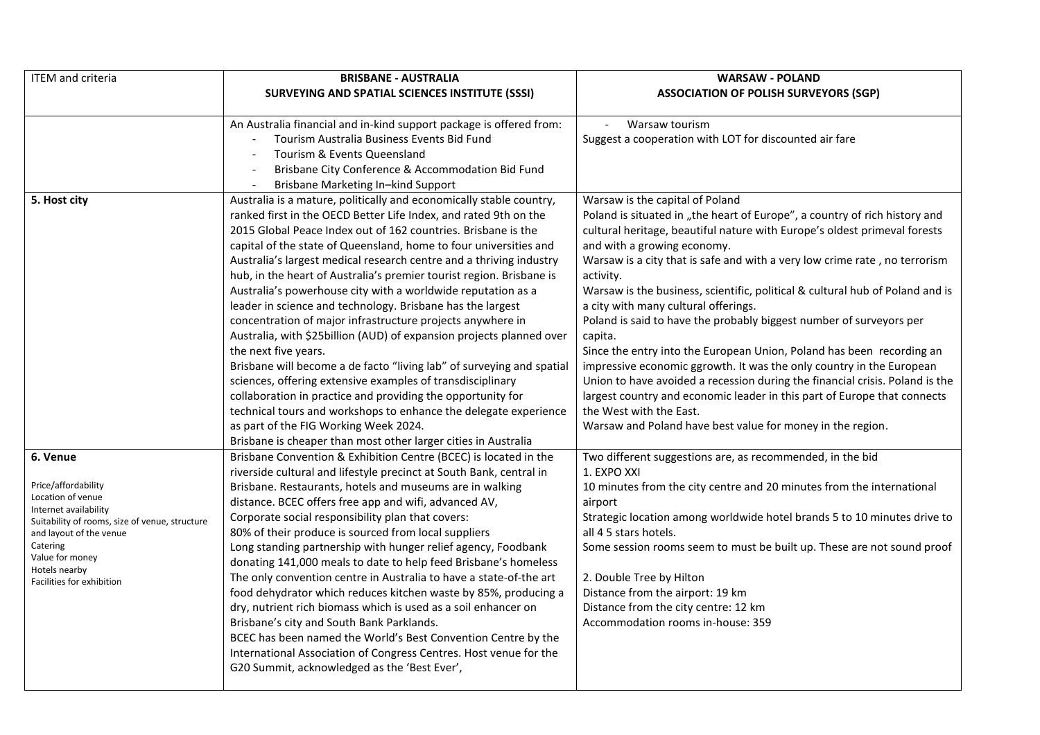| <b>ITEM</b> and criteria                       | <b>BRISBANE - AUSTRALIA</b>                                           | <b>WARSAW - POLAND</b>                                                        |
|------------------------------------------------|-----------------------------------------------------------------------|-------------------------------------------------------------------------------|
|                                                | SURVEYING AND SPATIAL SCIENCES INSTITUTE (SSSI)                       | <b>ASSOCIATION OF POLISH SURVEYORS (SGP)</b>                                  |
|                                                |                                                                       |                                                                               |
|                                                | An Australia financial and in-kind support package is offered from:   | Warsaw tourism<br>$\mathbb{Z}$                                                |
|                                                | Tourism Australia Business Events Bid Fund                            | Suggest a cooperation with LOT for discounted air fare                        |
|                                                | Tourism & Events Queensland                                           |                                                                               |
|                                                | Brisbane City Conference & Accommodation Bid Fund                     |                                                                               |
|                                                | Brisbane Marketing In-kind Support<br>$\sim$                          |                                                                               |
| 5. Host city                                   | Australia is a mature, politically and economically stable country,   | Warsaw is the capital of Poland                                               |
|                                                | ranked first in the OECD Better Life Index, and rated 9th on the      | Poland is situated in "the heart of Europe", a country of rich history and    |
|                                                | 2015 Global Peace Index out of 162 countries. Brisbane is the         | cultural heritage, beautiful nature with Europe's oldest primeval forests     |
|                                                | capital of the state of Queensland, home to four universities and     | and with a growing economy.                                                   |
|                                                | Australia's largest medical research centre and a thriving industry   | Warsaw is a city that is safe and with a very low crime rate, no terrorism    |
|                                                | hub, in the heart of Australia's premier tourist region. Brisbane is  | activity.                                                                     |
|                                                | Australia's powerhouse city with a worldwide reputation as a          | Warsaw is the business, scientific, political & cultural hub of Poland and is |
|                                                | leader in science and technology. Brisbane has the largest            | a city with many cultural offerings.                                          |
|                                                | concentration of major infrastructure projects anywhere in            | Poland is said to have the probably biggest number of surveyors per           |
|                                                | Australia, with \$25 billion (AUD) of expansion projects planned over | capita.                                                                       |
|                                                | the next five years.                                                  | Since the entry into the European Union, Poland has been recording an         |
|                                                | Brisbane will become a de facto "living lab" of surveying and spatial | impressive economic ggrowth. It was the only country in the European          |
|                                                | sciences, offering extensive examples of transdisciplinary            | Union to have avoided a recession during the financial crisis. Poland is the  |
|                                                | collaboration in practice and providing the opportunity for           | largest country and economic leader in this part of Europe that connects      |
|                                                | technical tours and workshops to enhance the delegate experience      | the West with the East.                                                       |
|                                                | as part of the FIG Working Week 2024.                                 | Warsaw and Poland have best value for money in the region.                    |
|                                                | Brisbane is cheaper than most other larger cities in Australia        |                                                                               |
| 6. Venue                                       | Brisbane Convention & Exhibition Centre (BCEC) is located in the      | Two different suggestions are, as recommended, in the bid                     |
|                                                | riverside cultural and lifestyle precinct at South Bank, central in   | 1. EXPO XXI                                                                   |
| Price/affordability<br>Location of venue       | Brisbane. Restaurants, hotels and museums are in walking              | 10 minutes from the city centre and 20 minutes from the international         |
| Internet availability                          | distance. BCEC offers free app and wifi, advanced AV,                 | airport                                                                       |
| Suitability of rooms, size of venue, structure | Corporate social responsibility plan that covers:                     | Strategic location among worldwide hotel brands 5 to 10 minutes drive to      |
| and layout of the venue                        | 80% of their produce is sourced from local suppliers                  | all 4 5 stars hotels.                                                         |
| Catering<br>Value for money                    | Long standing partnership with hunger relief agency, Foodbank         | Some session rooms seem to must be built up. These are not sound proof        |
| Hotels nearby                                  | donating 141,000 meals to date to help feed Brisbane's homeless       |                                                                               |
| Facilities for exhibition                      | The only convention centre in Australia to have a state-of-the art    | 2. Double Tree by Hilton                                                      |
|                                                | food dehydrator which reduces kitchen waste by 85%, producing a       | Distance from the airport: 19 km                                              |
|                                                | dry, nutrient rich biomass which is used as a soil enhancer on        | Distance from the city centre: 12 km                                          |
|                                                | Brisbane's city and South Bank Parklands.                             | Accommodation rooms in-house: 359                                             |
|                                                | BCEC has been named the World's Best Convention Centre by the         |                                                                               |
|                                                | International Association of Congress Centres. Host venue for the     |                                                                               |
|                                                | G20 Summit, acknowledged as the 'Best Ever',                          |                                                                               |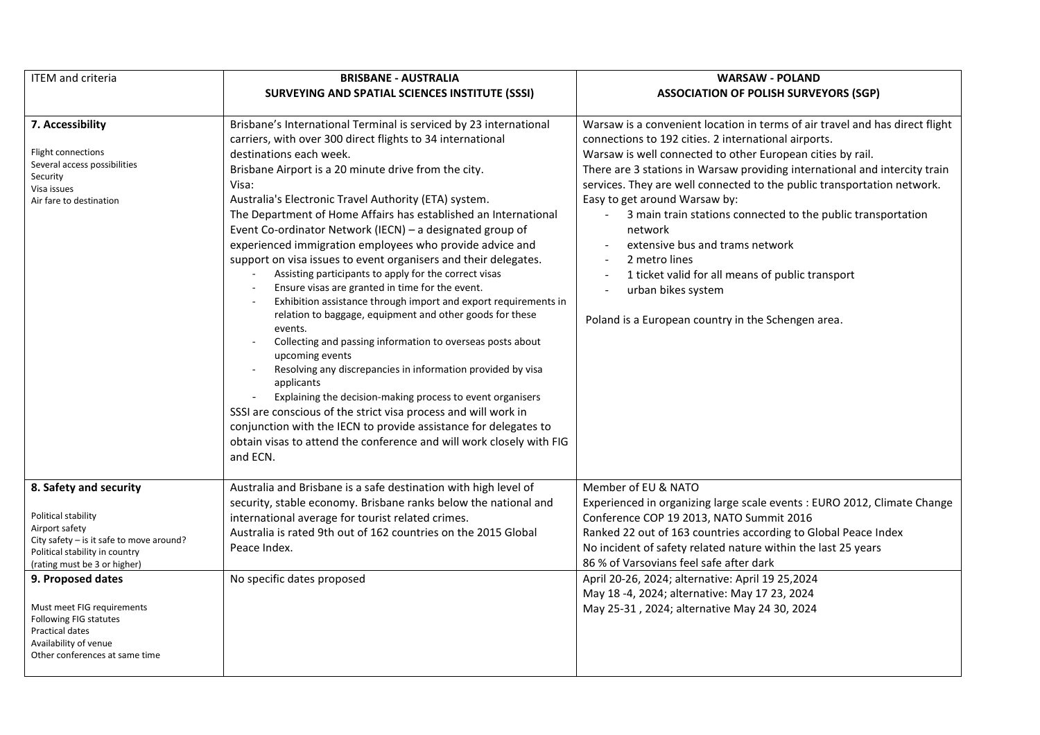| <b>ITEM</b> and criteria                                                                                                                                                                                                         | <b>BRISBANE - AUSTRALIA</b>                                                                                                                                                                                                                                                                                                                                                                                                                                                                                                                                                                                                                                                                                                                                                                                                                                                                                                                                                                                                                                                                                                                                                                                                                                               | <b>WARSAW - POLAND</b>                                                                                                                                                                                                                                                                                                                                                                                                                                                                                                                                                                                                                                      |
|----------------------------------------------------------------------------------------------------------------------------------------------------------------------------------------------------------------------------------|---------------------------------------------------------------------------------------------------------------------------------------------------------------------------------------------------------------------------------------------------------------------------------------------------------------------------------------------------------------------------------------------------------------------------------------------------------------------------------------------------------------------------------------------------------------------------------------------------------------------------------------------------------------------------------------------------------------------------------------------------------------------------------------------------------------------------------------------------------------------------------------------------------------------------------------------------------------------------------------------------------------------------------------------------------------------------------------------------------------------------------------------------------------------------------------------------------------------------------------------------------------------------|-------------------------------------------------------------------------------------------------------------------------------------------------------------------------------------------------------------------------------------------------------------------------------------------------------------------------------------------------------------------------------------------------------------------------------------------------------------------------------------------------------------------------------------------------------------------------------------------------------------------------------------------------------------|
|                                                                                                                                                                                                                                  | SURVEYING AND SPATIAL SCIENCES INSTITUTE (SSSI)                                                                                                                                                                                                                                                                                                                                                                                                                                                                                                                                                                                                                                                                                                                                                                                                                                                                                                                                                                                                                                                                                                                                                                                                                           | <b>ASSOCIATION OF POLISH SURVEYORS (SGP)</b>                                                                                                                                                                                                                                                                                                                                                                                                                                                                                                                                                                                                                |
| 7. Accessibility<br>Flight connections<br>Several access possibilities<br>Security<br>Visa issues<br>Air fare to destination                                                                                                     | Brisbane's International Terminal is serviced by 23 international<br>carriers, with over 300 direct flights to 34 international<br>destinations each week.<br>Brisbane Airport is a 20 minute drive from the city.<br>Visa:<br>Australia's Electronic Travel Authority (ETA) system.<br>The Department of Home Affairs has established an International<br>Event Co-ordinator Network (IECN) - a designated group of<br>experienced immigration employees who provide advice and<br>support on visa issues to event organisers and their delegates.<br>Assisting participants to apply for the correct visas<br>Ensure visas are granted in time for the event.<br>Exhibition assistance through import and export requirements in<br>relation to baggage, equipment and other goods for these<br>events.<br>Collecting and passing information to overseas posts about<br>upcoming events<br>Resolving any discrepancies in information provided by visa<br>$\sim$<br>applicants<br>Explaining the decision-making process to event organisers<br>SSSI are conscious of the strict visa process and will work in<br>conjunction with the IECN to provide assistance for delegates to<br>obtain visas to attend the conference and will work closely with FIG<br>and ECN. | Warsaw is a convenient location in terms of air travel and has direct flight<br>connections to 192 cities. 2 international airports.<br>Warsaw is well connected to other European cities by rail.<br>There are 3 stations in Warsaw providing international and intercity train<br>services. They are well connected to the public transportation network.<br>Easy to get around Warsaw by:<br>3 main train stations connected to the public transportation<br>network<br>extensive bus and trams network<br>2 metro lines<br>1 ticket valid for all means of public transport<br>urban bikes system<br>Poland is a European country in the Schengen area. |
| 8. Safety and security<br>Political stability<br>Airport safety<br>City safety - is it safe to move around?<br>Political stability in country<br>(rating must be 3 or higher)<br>9. Proposed dates<br>Must meet FIG requirements | Australia and Brisbane is a safe destination with high level of<br>security, stable economy. Brisbane ranks below the national and<br>international average for tourist related crimes.<br>Australia is rated 9th out of 162 countries on the 2015 Global<br>Peace Index.<br>No specific dates proposed                                                                                                                                                                                                                                                                                                                                                                                                                                                                                                                                                                                                                                                                                                                                                                                                                                                                                                                                                                   | Member of EU & NATO<br>Experienced in organizing large scale events : EURO 2012, Climate Change<br>Conference COP 19 2013, NATO Summit 2016<br>Ranked 22 out of 163 countries according to Global Peace Index<br>No incident of safety related nature within the last 25 years<br>86 % of Varsovians feel safe after dark<br>April 20-26, 2024; alternative: April 19 25, 2024<br>May 18 -4, 2024; alternative: May 17 23, 2024<br>May 25-31, 2024; alternative May 24 30, 2024                                                                                                                                                                             |
| Following FIG statutes<br><b>Practical dates</b><br>Availability of venue<br>Other conferences at same time                                                                                                                      |                                                                                                                                                                                                                                                                                                                                                                                                                                                                                                                                                                                                                                                                                                                                                                                                                                                                                                                                                                                                                                                                                                                                                                                                                                                                           |                                                                                                                                                                                                                                                                                                                                                                                                                                                                                                                                                                                                                                                             |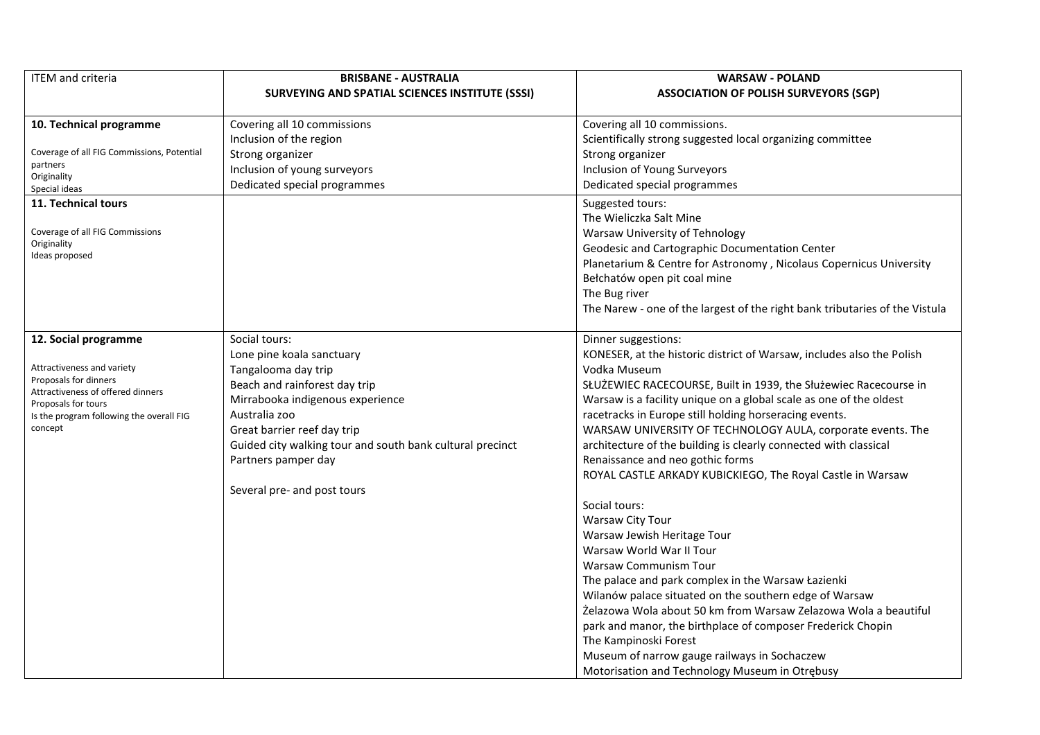| <b>ITEM and criteria</b>                                 | <b>BRISBANE - AUSTRALIA</b>                               | <b>WARSAW - POLAND</b>                                                      |
|----------------------------------------------------------|-----------------------------------------------------------|-----------------------------------------------------------------------------|
|                                                          | SURVEYING AND SPATIAL SCIENCES INSTITUTE (SSSI)           | <b>ASSOCIATION OF POLISH SURVEYORS (SGP)</b>                                |
|                                                          |                                                           |                                                                             |
| 10. Technical programme                                  | Covering all 10 commissions                               | Covering all 10 commissions.                                                |
|                                                          | Inclusion of the region                                   | Scientifically strong suggested local organizing committee                  |
| Coverage of all FIG Commissions, Potential               | Strong organizer                                          | Strong organizer                                                            |
| partners                                                 | Inclusion of young surveyors                              | Inclusion of Young Surveyors                                                |
| Originality<br>Special ideas                             | Dedicated special programmes                              | Dedicated special programmes                                                |
| 11. Technical tours                                      |                                                           | Suggested tours:                                                            |
|                                                          |                                                           | The Wieliczka Salt Mine                                                     |
| Coverage of all FIG Commissions                          |                                                           | Warsaw University of Tehnology                                              |
| Originality                                              |                                                           | Geodesic and Cartographic Documentation Center                              |
| Ideas proposed                                           |                                                           | Planetarium & Centre for Astronomy, Nicolaus Copernicus University          |
|                                                          |                                                           | Bełchatów open pit coal mine                                                |
|                                                          |                                                           | The Bug river                                                               |
|                                                          |                                                           | The Narew - one of the largest of the right bank tributaries of the Vistula |
|                                                          |                                                           |                                                                             |
| 12. Social programme                                     | Social tours:                                             | Dinner suggestions:                                                         |
|                                                          | Lone pine koala sanctuary                                 | KONESER, at the historic district of Warsaw, includes also the Polish       |
| Attractiveness and variety                               | Tangalooma day trip                                       | Vodka Museum                                                                |
| Proposals for dinners                                    | Beach and rainforest day trip                             | SŁUŻEWIEC RACECOURSE, Built in 1939, the Służewiec Racecourse in            |
| Attractiveness of offered dinners<br>Proposals for tours | Mirrabooka indigenous experience                          | Warsaw is a facility unique on a global scale as one of the oldest          |
| Is the program following the overall FIG                 | Australia zoo                                             | racetracks in Europe still holding horseracing events.                      |
| concept                                                  | Great barrier reef day trip                               | WARSAW UNIVERSITY OF TECHNOLOGY AULA, corporate events. The                 |
|                                                          | Guided city walking tour and south bank cultural precinct | architecture of the building is clearly connected with classical            |
|                                                          | Partners pamper day                                       | Renaissance and neo gothic forms                                            |
|                                                          |                                                           | ROYAL CASTLE ARKADY KUBICKIEGO, The Royal Castle in Warsaw                  |
|                                                          | Several pre- and post tours                               |                                                                             |
|                                                          |                                                           | Social tours:                                                               |
|                                                          |                                                           | Warsaw City Tour                                                            |
|                                                          |                                                           | Warsaw Jewish Heritage Tour                                                 |
|                                                          |                                                           | Warsaw World War II Tour                                                    |
|                                                          |                                                           | Warsaw Communism Tour                                                       |
|                                                          |                                                           | The palace and park complex in the Warsaw Łazienki                          |
|                                                          |                                                           | Wilanów palace situated on the southern edge of Warsaw                      |
|                                                          |                                                           | Żelazowa Wola about 50 km from Warsaw Zelazowa Wola a beautiful             |
|                                                          |                                                           | park and manor, the birthplace of composer Frederick Chopin                 |
|                                                          |                                                           | The Kampinoski Forest                                                       |
|                                                          |                                                           | Museum of narrow gauge railways in Sochaczew                                |
|                                                          |                                                           | Motorisation and Technology Museum in Otrebusy                              |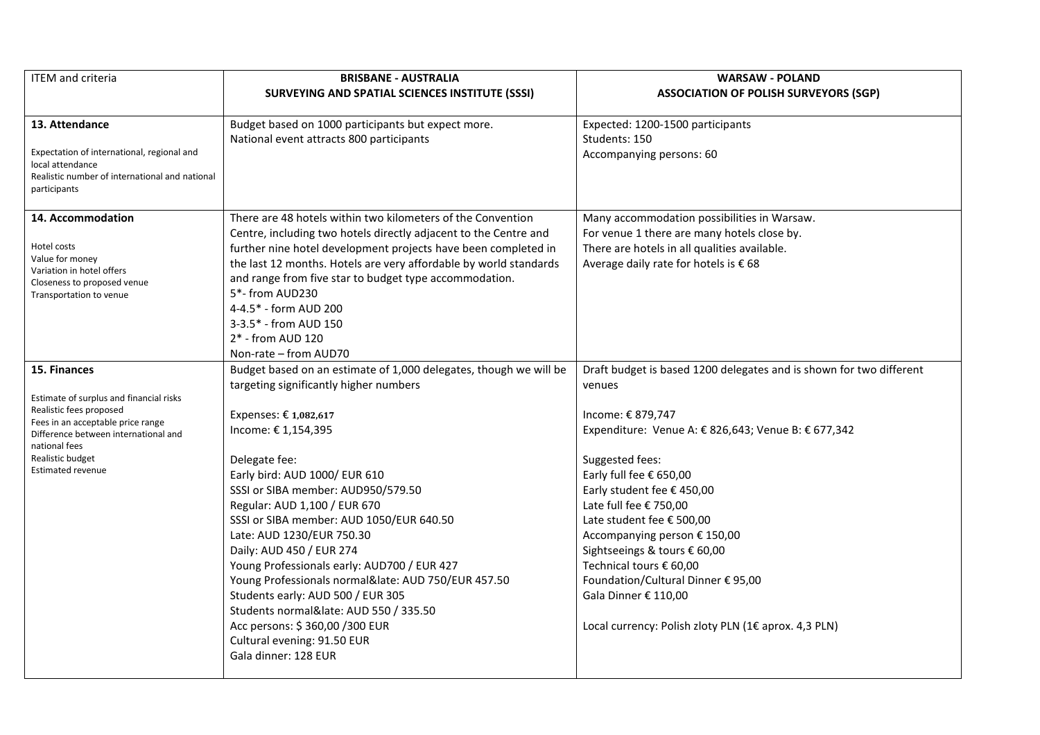| <b>ITEM</b> and criteria                                                                                                         | <b>BRISBANE - AUSTRALIA</b>                                               | <b>WARSAW - POLAND</b>                                              |
|----------------------------------------------------------------------------------------------------------------------------------|---------------------------------------------------------------------------|---------------------------------------------------------------------|
|                                                                                                                                  | SURVEYING AND SPATIAL SCIENCES INSTITUTE (SSSI)                           | <b>ASSOCIATION OF POLISH SURVEYORS (SGP)</b>                        |
| 13. Attendance                                                                                                                   | Budget based on 1000 participants but expect more.                        | Expected: 1200-1500 participants                                    |
|                                                                                                                                  | National event attracts 800 participants                                  | Students: 150                                                       |
| Expectation of international, regional and<br>local attendance<br>Realistic number of international and national<br>participants |                                                                           | Accompanying persons: 60                                            |
| 14. Accommodation                                                                                                                | There are 48 hotels within two kilometers of the Convention               | Many accommodation possibilities in Warsaw.                         |
|                                                                                                                                  | Centre, including two hotels directly adjacent to the Centre and          | For venue 1 there are many hotels close by.                         |
| Hotel costs                                                                                                                      | further nine hotel development projects have been completed in            | There are hotels in all qualities available.                        |
| Value for money<br>Variation in hotel offers                                                                                     | the last 12 months. Hotels are very affordable by world standards         | Average daily rate for hotels is € 68                               |
| Closeness to proposed venue<br>Transportation to venue                                                                           | and range from five star to budget type accommodation.<br>5*- from AUD230 |                                                                     |
|                                                                                                                                  | 4-4.5* - form AUD 200                                                     |                                                                     |
|                                                                                                                                  | 3-3.5* - from AUD 150                                                     |                                                                     |
|                                                                                                                                  | 2* - from AUD 120                                                         |                                                                     |
|                                                                                                                                  | Non-rate – from AUD70                                                     |                                                                     |
| 15. Finances                                                                                                                     | Budget based on an estimate of 1,000 delegates, though we will be         | Draft budget is based 1200 delegates and is shown for two different |
|                                                                                                                                  | targeting significantly higher numbers                                    | venues                                                              |
| Estimate of surplus and financial risks                                                                                          |                                                                           |                                                                     |
| Realistic fees proposed                                                                                                          | Expenses: € 1,082,617                                                     | Income: € 879,747                                                   |
| Fees in an acceptable price range<br>Difference between international and<br>national fees                                       | Income: €1,154,395                                                        | Expenditure: Venue A: € 826,643; Venue B: € 677,342                 |
| Realistic budget                                                                                                                 | Delegate fee:                                                             | Suggested fees:                                                     |
| <b>Estimated revenue</b>                                                                                                         | Early bird: AUD 1000/ EUR 610                                             | Early full fee € 650,00                                             |
|                                                                                                                                  | SSSI or SIBA member: AUD950/579.50                                        | Early student fee € 450,00                                          |
|                                                                                                                                  | Regular: AUD 1,100 / EUR 670                                              | Late full fee € 750,00                                              |
|                                                                                                                                  | SSSI or SIBA member: AUD 1050/EUR 640.50                                  | Late student fee € 500,00                                           |
|                                                                                                                                  | Late: AUD 1230/EUR 750.30                                                 | Accompanying person € 150,00                                        |
|                                                                                                                                  | Daily: AUD 450 / EUR 274                                                  | Sightseeings & tours € 60,00                                        |
|                                                                                                                                  | Young Professionals early: AUD700 / EUR 427                               | Technical tours € 60,00                                             |
|                                                                                                                                  | Young Professionals normal⪭: AUD 750/EUR 457.50                           | Foundation/Cultural Dinner € 95,00                                  |
|                                                                                                                                  | Students early: AUD 500 / EUR 305                                         | Gala Dinner € 110,00                                                |
|                                                                                                                                  | Students normal⪭: AUD 550 / 335.50                                        |                                                                     |
|                                                                                                                                  | Acc persons: \$360,00 /300 EUR                                            | Local currency: Polish zloty PLN (1€ aprox. 4,3 PLN)                |
|                                                                                                                                  | Cultural evening: 91.50 EUR                                               |                                                                     |
|                                                                                                                                  | Gala dinner: 128 EUR                                                      |                                                                     |
|                                                                                                                                  |                                                                           |                                                                     |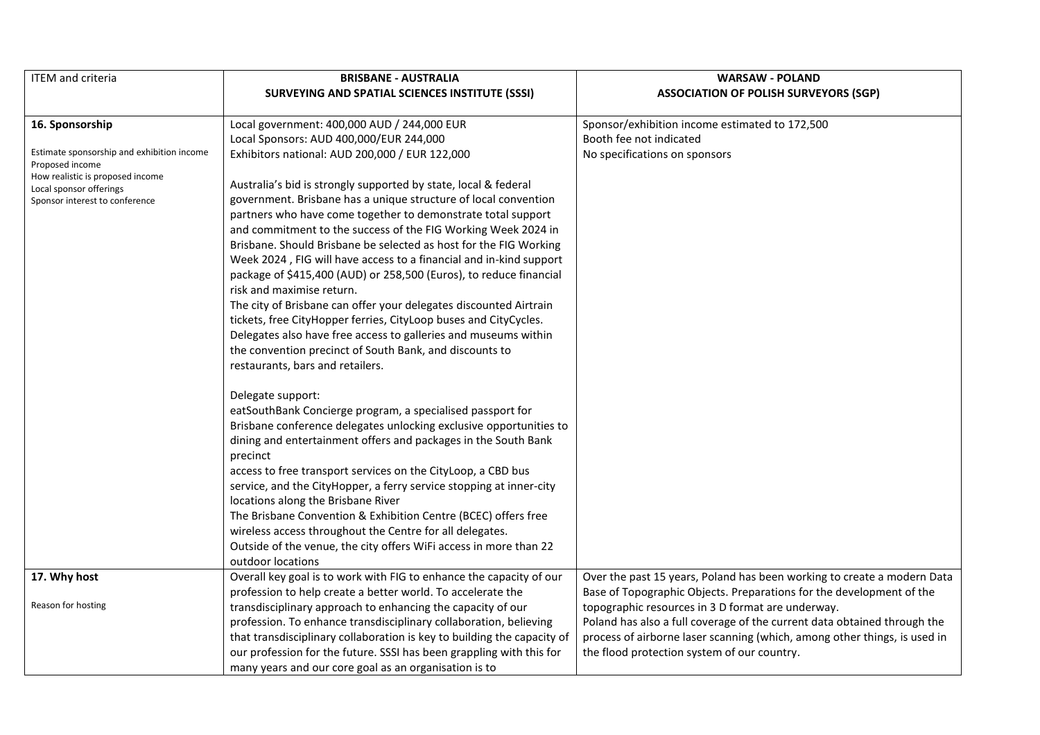| <b>ITEM</b> and criteria                                                                          | <b>BRISBANE - AUSTRALIA</b>                                                                                       | <b>WARSAW - POLAND</b>                                                    |
|---------------------------------------------------------------------------------------------------|-------------------------------------------------------------------------------------------------------------------|---------------------------------------------------------------------------|
|                                                                                                   | <b>SURVEYING AND SPATIAL SCIENCES INSTITUTE (SSSI)</b>                                                            | <b>ASSOCIATION OF POLISH SURVEYORS (SGP)</b>                              |
|                                                                                                   |                                                                                                                   |                                                                           |
| 16. Sponsorship                                                                                   | Local government: 400,000 AUD / 244,000 EUR                                                                       | Sponsor/exhibition income estimated to 172,500                            |
|                                                                                                   | Local Sponsors: AUD 400,000/EUR 244,000                                                                           | Booth fee not indicated                                                   |
| Estimate sponsorship and exhibition income<br>Proposed income<br>How realistic is proposed income | Exhibitors national: AUD 200,000 / EUR 122,000<br>Australia's bid is strongly supported by state, local & federal | No specifications on sponsors                                             |
| Local sponsor offerings<br>Sponsor interest to conference                                         | government. Brisbane has a unique structure of local convention                                                   |                                                                           |
|                                                                                                   | partners who have come together to demonstrate total support                                                      |                                                                           |
|                                                                                                   | and commitment to the success of the FIG Working Week 2024 in                                                     |                                                                           |
|                                                                                                   | Brisbane. Should Brisbane be selected as host for the FIG Working                                                 |                                                                           |
|                                                                                                   | Week 2024, FIG will have access to a financial and in-kind support                                                |                                                                           |
|                                                                                                   | package of \$415,400 (AUD) or 258,500 (Euros), to reduce financial                                                |                                                                           |
|                                                                                                   | risk and maximise return.                                                                                         |                                                                           |
|                                                                                                   | The city of Brisbane can offer your delegates discounted Airtrain                                                 |                                                                           |
|                                                                                                   | tickets, free CityHopper ferries, CityLoop buses and CityCycles.                                                  |                                                                           |
|                                                                                                   | Delegates also have free access to galleries and museums within                                                   |                                                                           |
|                                                                                                   | the convention precinct of South Bank, and discounts to                                                           |                                                                           |
|                                                                                                   | restaurants, bars and retailers.                                                                                  |                                                                           |
|                                                                                                   |                                                                                                                   |                                                                           |
|                                                                                                   | Delegate support:                                                                                                 |                                                                           |
|                                                                                                   | eatSouthBank Concierge program, a specialised passport for                                                        |                                                                           |
|                                                                                                   | Brisbane conference delegates unlocking exclusive opportunities to                                                |                                                                           |
|                                                                                                   | dining and entertainment offers and packages in the South Bank                                                    |                                                                           |
|                                                                                                   | precinct                                                                                                          |                                                                           |
|                                                                                                   | access to free transport services on the CityLoop, a CBD bus                                                      |                                                                           |
|                                                                                                   | service, and the CityHopper, a ferry service stopping at inner-city<br>locations along the Brisbane River         |                                                                           |
|                                                                                                   | The Brisbane Convention & Exhibition Centre (BCEC) offers free                                                    |                                                                           |
|                                                                                                   | wireless access throughout the Centre for all delegates.                                                          |                                                                           |
|                                                                                                   | Outside of the venue, the city offers WiFi access in more than 22                                                 |                                                                           |
|                                                                                                   | outdoor locations                                                                                                 |                                                                           |
| 17. Why host                                                                                      | Overall key goal is to work with FIG to enhance the capacity of our                                               | Over the past 15 years, Poland has been working to create a modern Data   |
|                                                                                                   | profession to help create a better world. To accelerate the                                                       | Base of Topographic Objects. Preparations for the development of the      |
| Reason for hosting                                                                                | transdisciplinary approach to enhancing the capacity of our                                                       | topographic resources in 3 D format are underway.                         |
|                                                                                                   | profession. To enhance transdisciplinary collaboration, believing                                                 | Poland has also a full coverage of the current data obtained through the  |
|                                                                                                   | that transdisciplinary collaboration is key to building the capacity of                                           | process of airborne laser scanning (which, among other things, is used in |
|                                                                                                   | our profession for the future. SSSI has been grappling with this for                                              | the flood protection system of our country.                               |
|                                                                                                   | many years and our core goal as an organisation is to                                                             |                                                                           |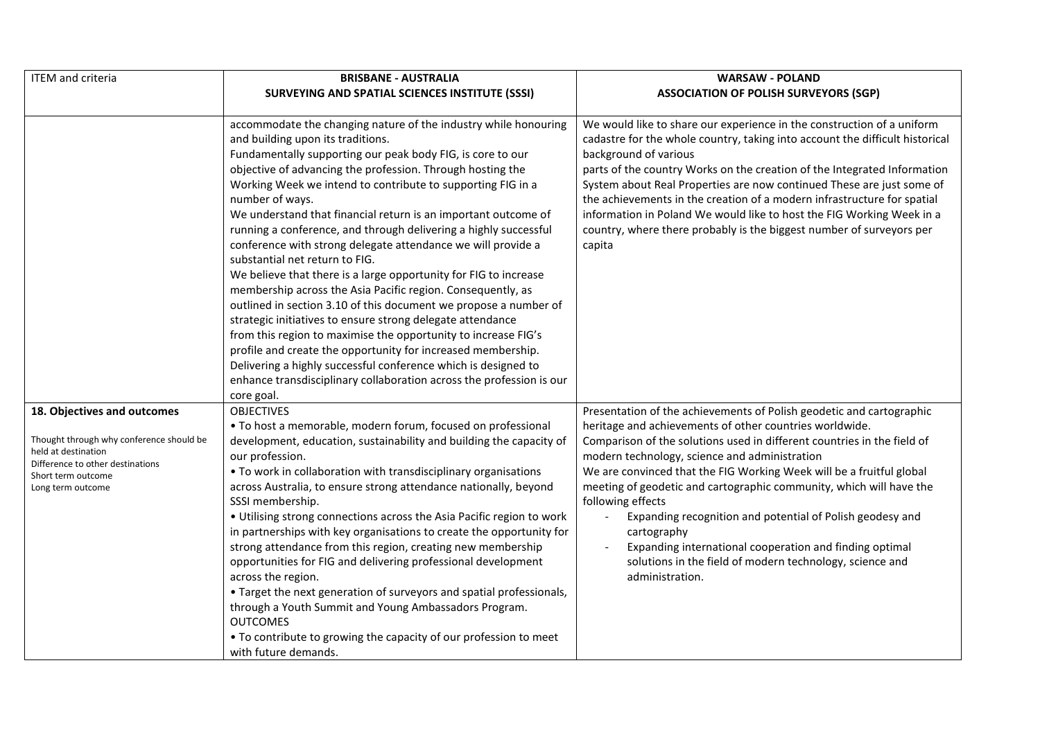| <b>ITEM</b> and criteria                                                                                                                                                      | <b>BRISBANE - AUSTRALIA</b>                                                                                                                                                                                                                                                                                                                                                                                                                                                                                                                                                                                                                                                                                                                                                                                                                                                                                                                                                                                                                                                                                               | <b>WARSAW - POLAND</b>                                                                                                                                                                                                                                                                                                                                                                                                                                                                                                                                                                                                                                |
|-------------------------------------------------------------------------------------------------------------------------------------------------------------------------------|---------------------------------------------------------------------------------------------------------------------------------------------------------------------------------------------------------------------------------------------------------------------------------------------------------------------------------------------------------------------------------------------------------------------------------------------------------------------------------------------------------------------------------------------------------------------------------------------------------------------------------------------------------------------------------------------------------------------------------------------------------------------------------------------------------------------------------------------------------------------------------------------------------------------------------------------------------------------------------------------------------------------------------------------------------------------------------------------------------------------------|-------------------------------------------------------------------------------------------------------------------------------------------------------------------------------------------------------------------------------------------------------------------------------------------------------------------------------------------------------------------------------------------------------------------------------------------------------------------------------------------------------------------------------------------------------------------------------------------------------------------------------------------------------|
|                                                                                                                                                                               | SURVEYING AND SPATIAL SCIENCES INSTITUTE (SSSI)                                                                                                                                                                                                                                                                                                                                                                                                                                                                                                                                                                                                                                                                                                                                                                                                                                                                                                                                                                                                                                                                           | <b>ASSOCIATION OF POLISH SURVEYORS (SGP)</b>                                                                                                                                                                                                                                                                                                                                                                                                                                                                                                                                                                                                          |
|                                                                                                                                                                               | accommodate the changing nature of the industry while honouring<br>and building upon its traditions.<br>Fundamentally supporting our peak body FIG, is core to our<br>objective of advancing the profession. Through hosting the<br>Working Week we intend to contribute to supporting FIG in a<br>number of ways.<br>We understand that financial return is an important outcome of<br>running a conference, and through delivering a highly successful<br>conference with strong delegate attendance we will provide a<br>substantial net return to FIG.<br>We believe that there is a large opportunity for FIG to increase<br>membership across the Asia Pacific region. Consequently, as<br>outlined in section 3.10 of this document we propose a number of<br>strategic initiatives to ensure strong delegate attendance<br>from this region to maximise the opportunity to increase FIG's<br>profile and create the opportunity for increased membership.<br>Delivering a highly successful conference which is designed to<br>enhance transdisciplinary collaboration across the profession is our<br>core goal. | We would like to share our experience in the construction of a uniform<br>cadastre for the whole country, taking into account the difficult historical<br>background of various<br>parts of the country Works on the creation of the Integrated Information<br>System about Real Properties are now continued These are just some of<br>the achievements in the creation of a modern infrastructure for spatial<br>information in Poland We would like to host the FIG Working Week in a<br>country, where there probably is the biggest number of surveyors per<br>capita                                                                            |
| 18. Objectives and outcomes<br>Thought through why conference should be<br>held at destination<br>Difference to other destinations<br>Short term outcome<br>Long term outcome | <b>OBJECTIVES</b><br>• To host a memorable, modern forum, focused on professional<br>development, education, sustainability and building the capacity of<br>our profession.<br>• To work in collaboration with transdisciplinary organisations<br>across Australia, to ensure strong attendance nationally, beyond<br>SSSI membership.<br>• Utilising strong connections across the Asia Pacific region to work<br>in partnerships with key organisations to create the opportunity for<br>strong attendance from this region, creating new membership<br>opportunities for FIG and delivering professional development<br>across the region.<br>• Target the next generation of surveyors and spatial professionals,<br>through a Youth Summit and Young Ambassadors Program.<br><b>OUTCOMES</b><br>• To contribute to growing the capacity of our profession to meet<br>with future demands.                                                                                                                                                                                                                            | Presentation of the achievements of Polish geodetic and cartographic<br>heritage and achievements of other countries worldwide.<br>Comparison of the solutions used in different countries in the field of<br>modern technology, science and administration<br>We are convinced that the FIG Working Week will be a fruitful global<br>meeting of geodetic and cartographic community, which will have the<br>following effects<br>Expanding recognition and potential of Polish geodesy and<br>cartography<br>Expanding international cooperation and finding optimal<br>solutions in the field of modern technology, science and<br>administration. |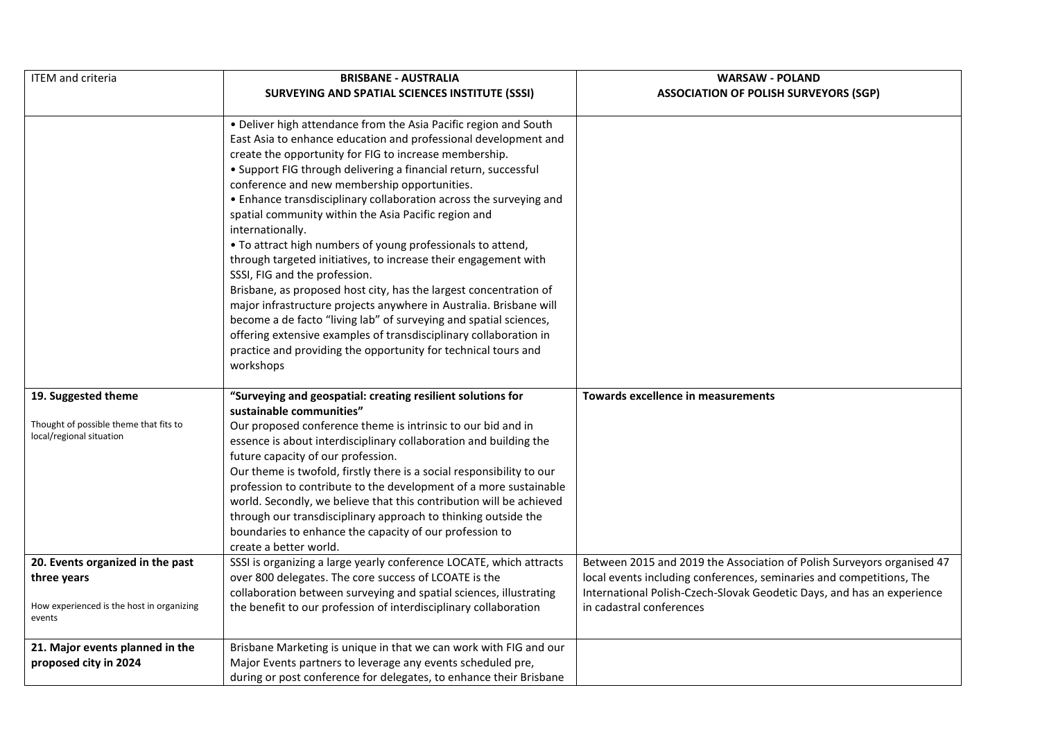| <b>ITEM</b> and criteria                                                                               | <b>BRISBANE - AUSTRALIA</b>                                                                                                                                                                                                                                                                                                                                                                                                                                                                                                                                                                                                                                                                                                                                                                                                                                                                                                                                                                               | <b>WARSAW - POLAND</b>                                                                                                                                                                                                                               |
|--------------------------------------------------------------------------------------------------------|-----------------------------------------------------------------------------------------------------------------------------------------------------------------------------------------------------------------------------------------------------------------------------------------------------------------------------------------------------------------------------------------------------------------------------------------------------------------------------------------------------------------------------------------------------------------------------------------------------------------------------------------------------------------------------------------------------------------------------------------------------------------------------------------------------------------------------------------------------------------------------------------------------------------------------------------------------------------------------------------------------------|------------------------------------------------------------------------------------------------------------------------------------------------------------------------------------------------------------------------------------------------------|
|                                                                                                        | <b>SURVEYING AND SPATIAL SCIENCES INSTITUTE (SSSI)</b>                                                                                                                                                                                                                                                                                                                                                                                                                                                                                                                                                                                                                                                                                                                                                                                                                                                                                                                                                    | <b>ASSOCIATION OF POLISH SURVEYORS (SGP)</b>                                                                                                                                                                                                         |
|                                                                                                        | • Deliver high attendance from the Asia Pacific region and South<br>East Asia to enhance education and professional development and<br>create the opportunity for FIG to increase membership.<br>• Support FIG through delivering a financial return, successful<br>conference and new membership opportunities.<br>• Enhance transdisciplinary collaboration across the surveying and<br>spatial community within the Asia Pacific region and<br>internationally.<br>. To attract high numbers of young professionals to attend,<br>through targeted initiatives, to increase their engagement with<br>SSSI, FIG and the profession.<br>Brisbane, as proposed host city, has the largest concentration of<br>major infrastructure projects anywhere in Australia. Brisbane will<br>become a de facto "living lab" of surveying and spatial sciences,<br>offering extensive examples of transdisciplinary collaboration in<br>practice and providing the opportunity for technical tours and<br>workshops |                                                                                                                                                                                                                                                      |
| 19. Suggested theme<br>Thought of possible theme that fits to<br>local/regional situation              | "Surveying and geospatial: creating resilient solutions for<br>sustainable communities"<br>Our proposed conference theme is intrinsic to our bid and in<br>essence is about interdisciplinary collaboration and building the<br>future capacity of our profession.<br>Our theme is twofold, firstly there is a social responsibility to our<br>profession to contribute to the development of a more sustainable<br>world. Secondly, we believe that this contribution will be achieved<br>through our transdisciplinary approach to thinking outside the<br>boundaries to enhance the capacity of our profession to<br>create a better world.                                                                                                                                                                                                                                                                                                                                                            | <b>Towards excellence in measurements</b>                                                                                                                                                                                                            |
| 20. Events organized in the past<br>three years<br>How experienced is the host in organizing<br>events | SSSI is organizing a large yearly conference LOCATE, which attracts<br>over 800 delegates. The core success of LCOATE is the<br>collaboration between surveying and spatial sciences, illustrating<br>the benefit to our profession of interdisciplinary collaboration                                                                                                                                                                                                                                                                                                                                                                                                                                                                                                                                                                                                                                                                                                                                    | Between 2015 and 2019 the Association of Polish Surveyors organised 47<br>local events including conferences, seminaries and competitions, The<br>International Polish-Czech-Slovak Geodetic Days, and has an experience<br>in cadastral conferences |
| 21. Major events planned in the<br>proposed city in 2024                                               | Brisbane Marketing is unique in that we can work with FIG and our<br>Major Events partners to leverage any events scheduled pre,<br>during or post conference for delegates, to enhance their Brisbane                                                                                                                                                                                                                                                                                                                                                                                                                                                                                                                                                                                                                                                                                                                                                                                                    |                                                                                                                                                                                                                                                      |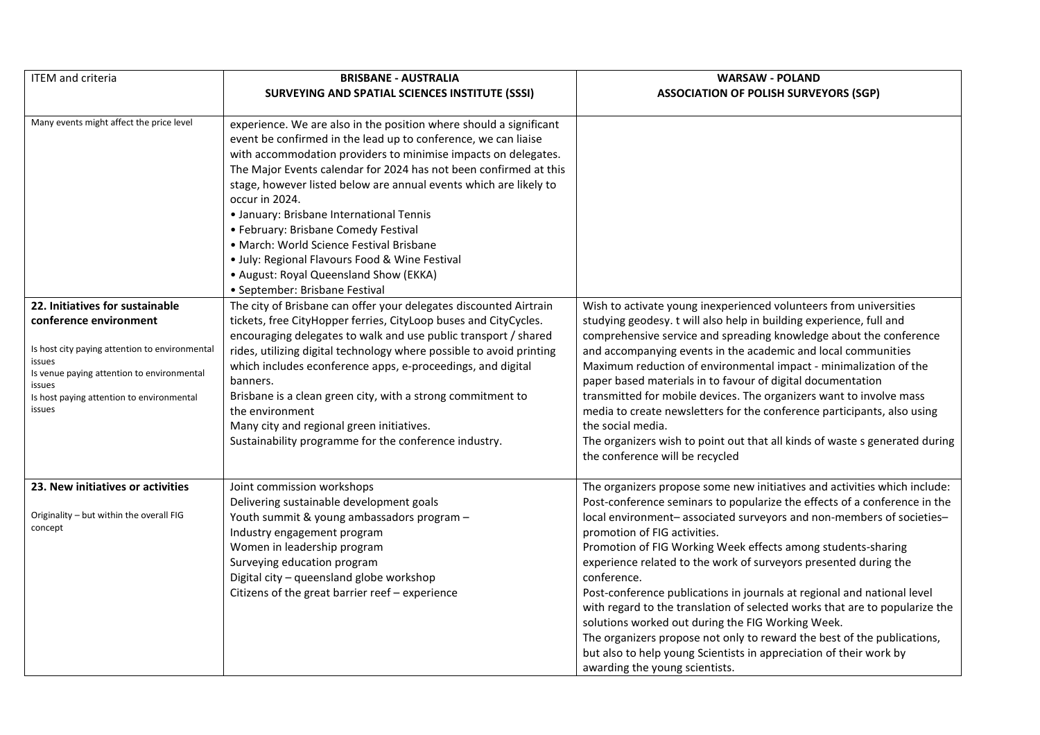| <b>ITEM</b> and criteria                                                                                                                                                                          | <b>BRISBANE - AUSTRALIA</b>                                                                                                                                                                                                                                                                                                                                                                                                                                                                                                                                                                                                      | <b>WARSAW - POLAND</b>                                                                                                                                                                                                                                                                                                                                                                                                                                                                                                                                                                                                                                                                                                                                                                                              |
|---------------------------------------------------------------------------------------------------------------------------------------------------------------------------------------------------|----------------------------------------------------------------------------------------------------------------------------------------------------------------------------------------------------------------------------------------------------------------------------------------------------------------------------------------------------------------------------------------------------------------------------------------------------------------------------------------------------------------------------------------------------------------------------------------------------------------------------------|---------------------------------------------------------------------------------------------------------------------------------------------------------------------------------------------------------------------------------------------------------------------------------------------------------------------------------------------------------------------------------------------------------------------------------------------------------------------------------------------------------------------------------------------------------------------------------------------------------------------------------------------------------------------------------------------------------------------------------------------------------------------------------------------------------------------|
|                                                                                                                                                                                                   | SURVEYING AND SPATIAL SCIENCES INSTITUTE (SSSI)                                                                                                                                                                                                                                                                                                                                                                                                                                                                                                                                                                                  | <b>ASSOCIATION OF POLISH SURVEYORS (SGP)</b>                                                                                                                                                                                                                                                                                                                                                                                                                                                                                                                                                                                                                                                                                                                                                                        |
|                                                                                                                                                                                                   |                                                                                                                                                                                                                                                                                                                                                                                                                                                                                                                                                                                                                                  |                                                                                                                                                                                                                                                                                                                                                                                                                                                                                                                                                                                                                                                                                                                                                                                                                     |
| Many events might affect the price level                                                                                                                                                          | experience. We are also in the position where should a significant<br>event be confirmed in the lead up to conference, we can liaise<br>with accommodation providers to minimise impacts on delegates.<br>The Major Events calendar for 2024 has not been confirmed at this<br>stage, however listed below are annual events which are likely to<br>occur in 2024.<br>• January: Brisbane International Tennis<br>• February: Brisbane Comedy Festival<br>• March: World Science Festival Brisbane<br>· July: Regional Flavours Food & Wine Festival<br>• August: Royal Queensland Show (EKKA)<br>• September: Brisbane Festival |                                                                                                                                                                                                                                                                                                                                                                                                                                                                                                                                                                                                                                                                                                                                                                                                                     |
| 22. Initiatives for sustainable                                                                                                                                                                   | The city of Brisbane can offer your delegates discounted Airtrain                                                                                                                                                                                                                                                                                                                                                                                                                                                                                                                                                                | Wish to activate young inexperienced volunteers from universities                                                                                                                                                                                                                                                                                                                                                                                                                                                                                                                                                                                                                                                                                                                                                   |
| conference environment<br>Is host city paying attention to environmental<br>issues<br>Is venue paying attention to environmental<br>issues<br>Is host paying attention to environmental<br>issues | tickets, free CityHopper ferries, CityLoop buses and CityCycles.<br>encouraging delegates to walk and use public transport / shared<br>rides, utilizing digital technology where possible to avoid printing<br>which includes econference apps, e-proceedings, and digital<br>banners.<br>Brisbane is a clean green city, with a strong commitment to<br>the environment<br>Many city and regional green initiatives.<br>Sustainability programme for the conference industry.                                                                                                                                                   | studying geodesy. t will also help in building experience, full and<br>comprehensive service and spreading knowledge about the conference<br>and accompanying events in the academic and local communities<br>Maximum reduction of environmental impact - minimalization of the<br>paper based materials in to favour of digital documentation<br>transmitted for mobile devices. The organizers want to involve mass<br>media to create newsletters for the conference participants, also using<br>the social media.<br>The organizers wish to point out that all kinds of waste s generated during<br>the conference will be recycled                                                                                                                                                                             |
| 23. New initiatives or activities<br>Originality - but within the overall FIG<br>concept                                                                                                          | Joint commission workshops<br>Delivering sustainable development goals<br>Youth summit & young ambassadors program -<br>Industry engagement program<br>Women in leadership program<br>Surveying education program<br>Digital city - queensland globe workshop<br>Citizens of the great barrier reef - experience                                                                                                                                                                                                                                                                                                                 | The organizers propose some new initiatives and activities which include:<br>Post-conference seminars to popularize the effects of a conference in the<br>local environment-associated surveyors and non-members of societies-<br>promotion of FIG activities.<br>Promotion of FIG Working Week effects among students-sharing<br>experience related to the work of surveyors presented during the<br>conference.<br>Post-conference publications in journals at regional and national level<br>with regard to the translation of selected works that are to popularize the<br>solutions worked out during the FIG Working Week.<br>The organizers propose not only to reward the best of the publications,<br>but also to help young Scientists in appreciation of their work by<br>awarding the young scientists. |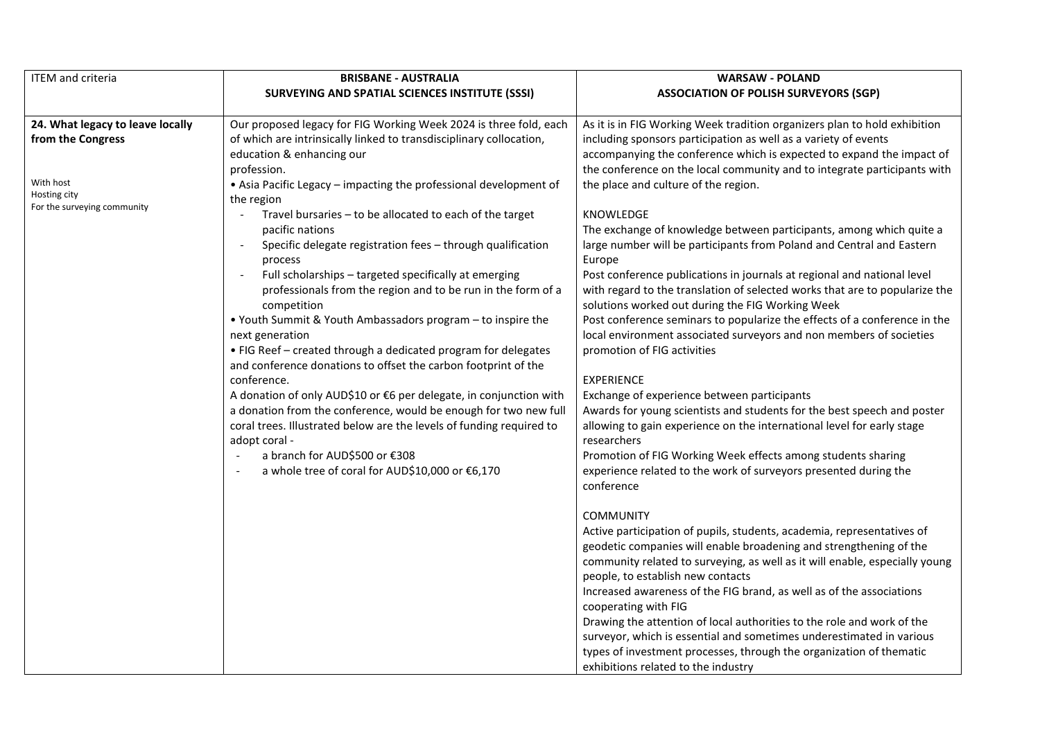| <b>ITEM</b> and criteria                    | <b>BRISBANE - AUSTRALIA</b>                                                             | <b>WARSAW - POLAND</b>                                                      |
|---------------------------------------------|-----------------------------------------------------------------------------------------|-----------------------------------------------------------------------------|
|                                             | <b>SURVEYING AND SPATIAL SCIENCES INSTITUTE (SSSI)</b>                                  | <b>ASSOCIATION OF POLISH SURVEYORS (SGP)</b>                                |
|                                             |                                                                                         |                                                                             |
| 24. What legacy to leave locally            | Our proposed legacy for FIG Working Week 2024 is three fold, each                       | As it is in FIG Working Week tradition organizers plan to hold exhibition   |
| from the Congress                           | of which are intrinsically linked to transdisciplinary collocation,                     | including sponsors participation as well as a variety of events             |
|                                             | education & enhancing our                                                               | accompanying the conference which is expected to expand the impact of       |
|                                             | profession.                                                                             | the conference on the local community and to integrate participants with    |
| With host                                   | • Asia Pacific Legacy – impacting the professional development of                       | the place and culture of the region.                                        |
| Hosting city<br>For the surveying community | the region                                                                              |                                                                             |
|                                             | Travel bursaries - to be allocated to each of the target                                | KNOWLEDGE                                                                   |
|                                             | pacific nations                                                                         | The exchange of knowledge between participants, among which quite a         |
|                                             | Specific delegate registration fees - through qualification<br>$\overline{\phantom{a}}$ | large number will be participants from Poland and Central and Eastern       |
|                                             | process                                                                                 | Europe                                                                      |
|                                             | Full scholarships - targeted specifically at emerging<br>$\overline{\phantom{a}}$       | Post conference publications in journals at regional and national level     |
|                                             | professionals from the region and to be run in the form of a                            | with regard to the translation of selected works that are to popularize the |
|                                             | competition                                                                             | solutions worked out during the FIG Working Week                            |
|                                             | • Youth Summit & Youth Ambassadors program - to inspire the                             | Post conference seminars to popularize the effects of a conference in the   |
|                                             | next generation                                                                         | local environment associated surveyors and non members of societies         |
|                                             | • FIG Reef - created through a dedicated program for delegates                          | promotion of FIG activities                                                 |
|                                             | and conference donations to offset the carbon footprint of the                          |                                                                             |
|                                             | conference.                                                                             | <b>EXPERIENCE</b>                                                           |
|                                             | A donation of only AUD\$10 or €6 per delegate, in conjunction with                      | Exchange of experience between participants                                 |
|                                             | a donation from the conference, would be enough for two new full                        | Awards for young scientists and students for the best speech and poster     |
|                                             | coral trees. Illustrated below are the levels of funding required to                    | allowing to gain experience on the international level for early stage      |
|                                             | adopt coral -                                                                           | researchers                                                                 |
|                                             | a branch for AUD\$500 or €308                                                           | Promotion of FIG Working Week effects among students sharing                |
|                                             | a whole tree of coral for AUD\$10,000 or €6,170                                         | experience related to the work of surveyors presented during the            |
|                                             |                                                                                         | conference                                                                  |
|                                             |                                                                                         | <b>COMMUNITY</b>                                                            |
|                                             |                                                                                         | Active participation of pupils, students, academia, representatives of      |
|                                             |                                                                                         | geodetic companies will enable broadening and strengthening of the          |
|                                             |                                                                                         | community related to surveying, as well as it will enable, especially young |
|                                             |                                                                                         | people, to establish new contacts                                           |
|                                             |                                                                                         | Increased awareness of the FIG brand, as well as of the associations        |
|                                             |                                                                                         | cooperating with FIG                                                        |
|                                             |                                                                                         | Drawing the attention of local authorities to the role and work of the      |
|                                             |                                                                                         | surveyor, which is essential and sometimes underestimated in various        |
|                                             |                                                                                         | types of investment processes, through the organization of thematic         |
|                                             |                                                                                         | exhibitions related to the industry                                         |